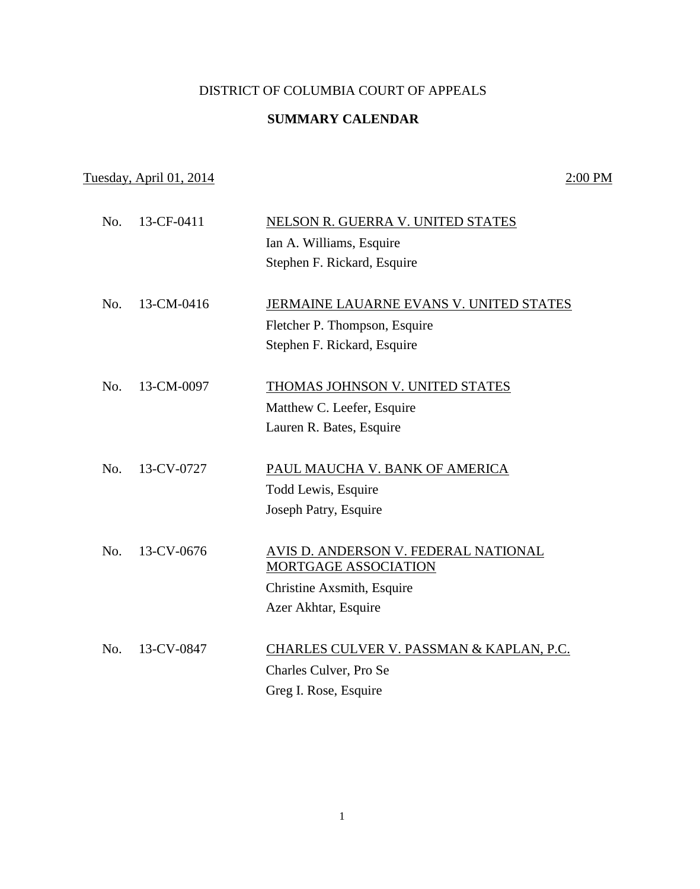## DISTRICT OF COLUMBIA COURT OF APPEALS

## **SUMMARY CALENDAR**

## Tuesday, April 01, 2014 2:00 PM

| No. | 13-CF-0411 | NELSON R. GUERRA V. UNITED STATES        |
|-----|------------|------------------------------------------|
|     |            | Ian A. Williams, Esquire                 |
|     |            | Stephen F. Rickard, Esquire              |
| No. | 13-CM-0416 | JERMAINE LAUARNE EVANS V. UNITED STATES  |
|     |            |                                          |
|     |            | Fletcher P. Thompson, Esquire            |
|     |            | Stephen F. Rickard, Esquire              |
| No. | 13-CM-0097 | THOMAS JOHNSON V. UNITED STATES          |
|     |            | Matthew C. Leefer, Esquire               |
|     |            | Lauren R. Bates, Esquire                 |
|     |            |                                          |
| No. | 13-CV-0727 | PAUL MAUCHA V. BANK OF AMERICA           |
|     |            | Todd Lewis, Esquire                      |
|     |            | Joseph Patry, Esquire                    |
|     |            |                                          |
| No. | 13-CV-0676 | AVIS D. ANDERSON V. FEDERAL NATIONAL     |
|     |            | MORTGAGE ASSOCIATION                     |
|     |            | Christine Axsmith, Esquire               |
|     |            | Azer Akhtar, Esquire                     |
|     |            |                                          |
| No. | 13-CV-0847 | CHARLES CULVER V. PASSMAN & KAPLAN, P.C. |
|     |            | Charles Culver, Pro Se                   |
|     |            | Greg I. Rose, Esquire                    |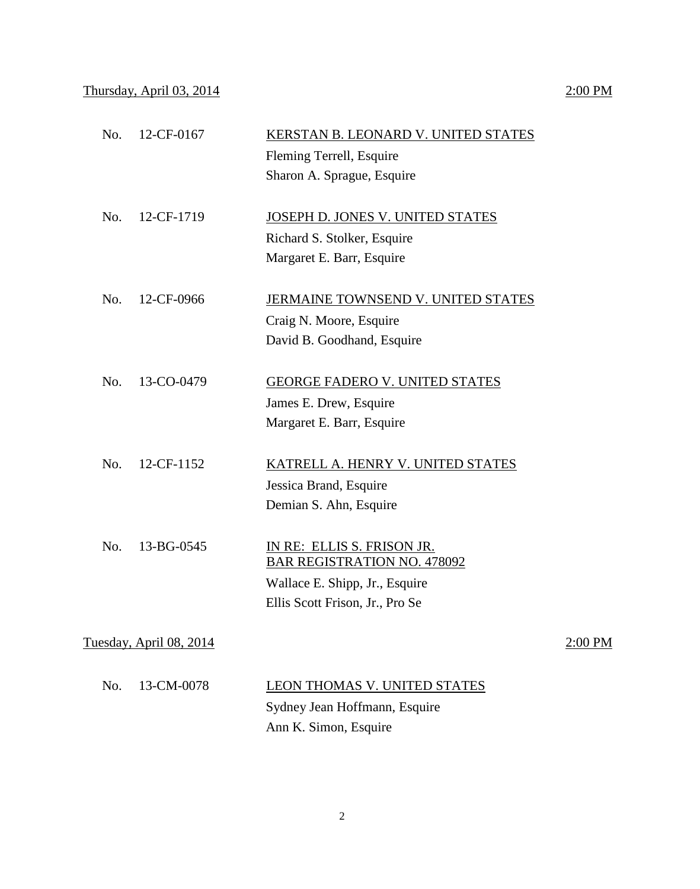|     |                         | Fleming Terrell, Esquire           |         |
|-----|-------------------------|------------------------------------|---------|
|     |                         | Sharon A. Sprague, Esquire         |         |
|     |                         |                                    |         |
| No. | 12-CF-1719              | JOSEPH D. JONES V. UNITED STATES   |         |
|     |                         | Richard S. Stolker, Esquire        |         |
|     |                         | Margaret E. Barr, Esquire          |         |
| No. | 12-CF-0966              | JERMAINE TOWNSEND V. UNITED STATES |         |
|     |                         | Craig N. Moore, Esquire            |         |
|     |                         | David B. Goodhand, Esquire         |         |
|     |                         |                                    |         |
| No. | 13-CO-0479              | GEORGE FADERO V. UNITED STATES     |         |
|     |                         | James E. Drew, Esquire             |         |
|     |                         | Margaret E. Barr, Esquire          |         |
|     |                         |                                    |         |
| No. | 12-CF-1152              | KATRELL A. HENRY V. UNITED STATES  |         |
|     |                         | Jessica Brand, Esquire             |         |
|     |                         | Demian S. Ahn, Esquire             |         |
|     |                         |                                    |         |
| No. | 13-BG-0545              | IN RE: ELLIS S. FRISON JR.         |         |
|     |                         | <b>BAR REGISTRATION NO. 478092</b> |         |
|     |                         | Wallace E. Shipp, Jr., Esquire     |         |
|     |                         | Ellis Scott Frison, Jr., Pro Se    |         |
|     | Tuesday, April 08, 2014 |                                    | 2:00 PM |
|     |                         |                                    |         |
| No. | 13-CM-0078              | LEON THOMAS V. UNITED STATES       |         |
|     |                         |                                    |         |

No. 12-CF-0167 KERSTAN B. LEONARD V. UNITED STATES

Sydney Jean Hoffmann, Esquire Ann K. Simon, Esquire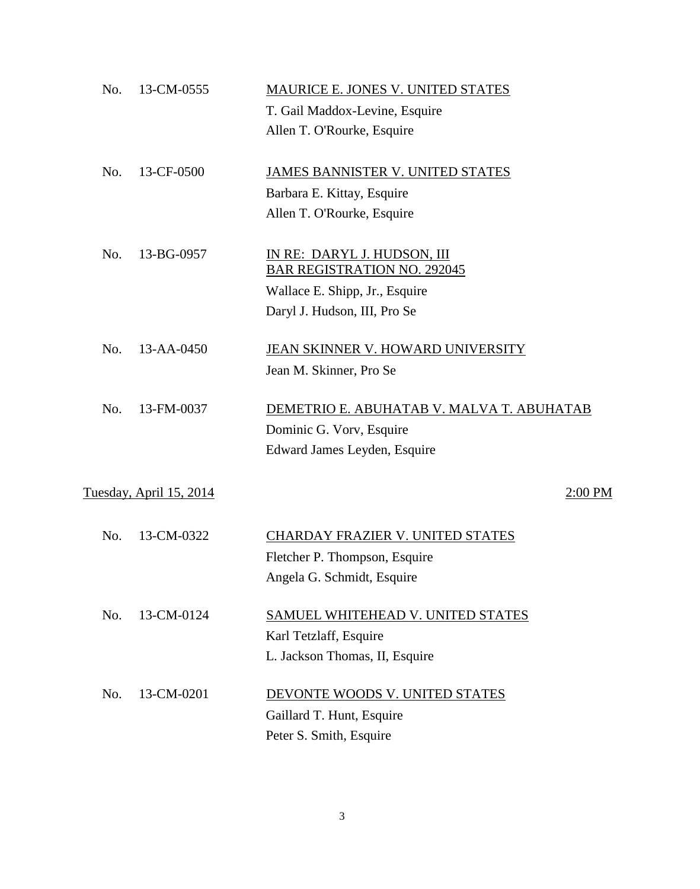| No. | 13-CM-0555                     | MAURICE E. JONES V. UNITED STATES                                 |
|-----|--------------------------------|-------------------------------------------------------------------|
|     |                                | T. Gail Maddox-Levine, Esquire                                    |
|     |                                | Allen T. O'Rourke, Esquire                                        |
| No. | 13-CF-0500                     | JAMES BANNISTER V. UNITED STATES                                  |
|     |                                | Barbara E. Kittay, Esquire                                        |
|     |                                | Allen T. O'Rourke, Esquire                                        |
| No. | 13-BG-0957                     | IN RE: DARYL J. HUDSON, III<br><b>BAR REGISTRATION NO. 292045</b> |
|     |                                | Wallace E. Shipp, Jr., Esquire                                    |
|     |                                | Daryl J. Hudson, III, Pro Se                                      |
| No. | 13-AA-0450                     | JEAN SKINNER V. HOWARD UNIVERSITY                                 |
|     |                                | Jean M. Skinner, Pro Se                                           |
| No. | 13-FM-0037                     | DEMETRIO E. ABUHATAB V. MALVA T. ABUHATAB                         |
|     |                                | Dominic G. Vorv, Esquire                                          |
|     |                                | Edward James Leyden, Esquire                                      |
|     | <u>Tuesday, April 15, 2014</u> | 2:00 PM                                                           |
| No. | 13-CM-0322                     | <b>CHARDAY FRAZIER V. UNITED STATES</b>                           |
|     |                                | Fletcher P. Thompson, Esquire                                     |
|     |                                | Angela G. Schmidt, Esquire                                        |
| No. | 13-CM-0124                     | SAMUEL WHITEHEAD V. UNITED STATES                                 |
|     |                                | Karl Tetzlaff, Esquire                                            |
|     |                                | L. Jackson Thomas, II, Esquire                                    |
| No. | 13-CM-0201                     | DEVONTE WOODS V. UNITED STATES                                    |
|     |                                | Gaillard T. Hunt, Esquire                                         |
|     |                                | Peter S. Smith, Esquire                                           |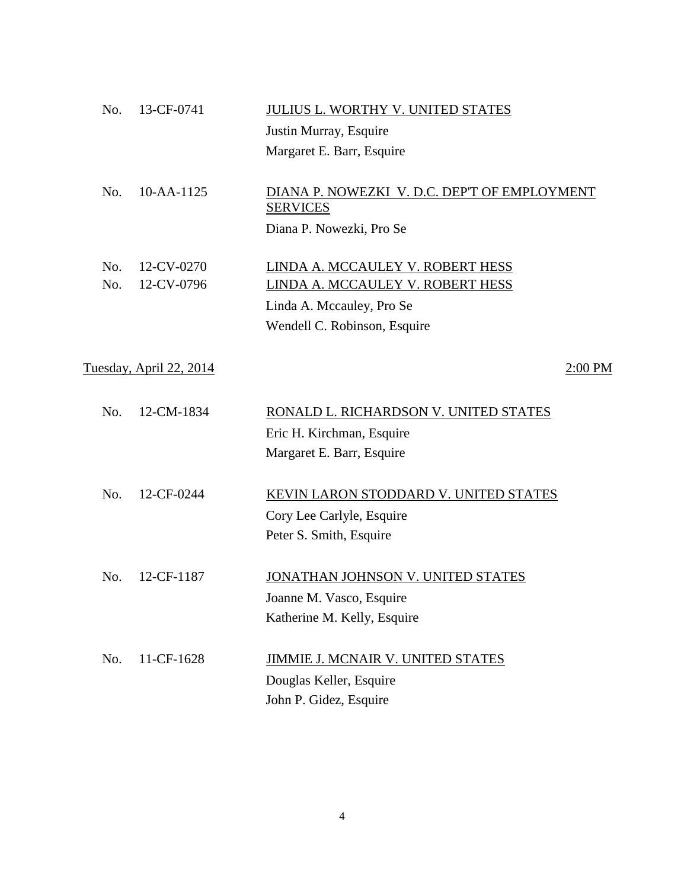| No.                                       | 13-CF-0741               | <b>JULIUS L. WORTHY V. UNITED STATES</b>                                                                                          |  |  |
|-------------------------------------------|--------------------------|-----------------------------------------------------------------------------------------------------------------------------------|--|--|
|                                           |                          | Justin Murray, Esquire                                                                                                            |  |  |
|                                           |                          | Margaret E. Barr, Esquire                                                                                                         |  |  |
| No.                                       | 10-AA-1125               | DIANA P. NOWEZKI V. D.C. DEP'T OF EMPLOYMENT<br><b>SERVICES</b><br>Diana P. Nowezki, Pro Se                                       |  |  |
| No.<br>No.                                | 12-CV-0270<br>12-CV-0796 | LINDA A. MCCAULEY V. ROBERT HESS<br>LINDA A. MCCAULEY V. ROBERT HESS<br>Linda A. Mccauley, Pro Se<br>Wendell C. Robinson, Esquire |  |  |
| <u>Tuesday, April 22, 2014</u><br>2:00 PM |                          |                                                                                                                                   |  |  |
| No.                                       | 12-CM-1834               | RONALD L. RICHARDSON V. UNITED STATES<br>Eric H. Kirchman, Esquire<br>Margaret E. Barr, Esquire                                   |  |  |
| No.                                       | 12-CF-0244               | KEVIN LARON STODDARD V. UNITED STATES<br>Cory Lee Carlyle, Esquire<br>Peter S. Smith, Esquire                                     |  |  |
| No.                                       | 12-CF-1187               | JONATHAN JOHNSON V. UNITED STATES<br>Joanne M. Vasco, Esquire<br>Katherine M. Kelly, Esquire                                      |  |  |
| No.                                       | 11-CF-1628               | JIMMIE J. MCNAIR V. UNITED STATES<br>Douglas Keller, Esquire<br>John P. Gidez, Esquire                                            |  |  |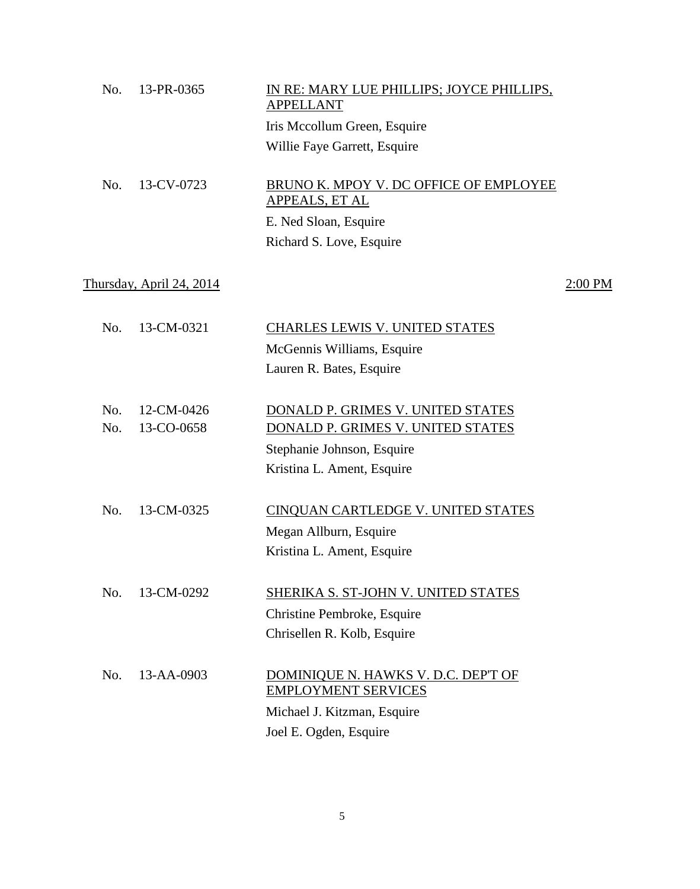| No. | 13-PR-0365               | IN RE: MARY LUE PHILLIPS; JOYCE PHILLIPS,<br><b>APPELLANT</b> |           |
|-----|--------------------------|---------------------------------------------------------------|-----------|
|     |                          | Iris Mccollum Green, Esquire                                  |           |
|     |                          | Willie Faye Garrett, Esquire                                  |           |
| No. | 13-CV-0723               | BRUNO K. MPOY V. DC OFFICE OF EMPLOYEE<br>APPEALS, ET AL      |           |
|     |                          | E. Ned Sloan, Esquire                                         |           |
|     |                          | Richard S. Love, Esquire                                      |           |
|     | Thursday, April 24, 2014 |                                                               | $2:00$ PM |
| No. | 13-CM-0321               | CHARLES LEWIS V. UNITED STATES                                |           |
|     |                          | McGennis Williams, Esquire                                    |           |
|     |                          | Lauren R. Bates, Esquire                                      |           |
| No. | 12-CM-0426               | DONALD P. GRIMES V. UNITED STATES                             |           |
| No. | 13-CO-0658               | DONALD P. GRIMES V. UNITED STATES                             |           |
|     |                          | Stephanie Johnson, Esquire                                    |           |
|     |                          | Kristina L. Ament, Esquire                                    |           |
| No. | 13-CM-0325               | CINQUAN CARTLEDGE V. UNITED STATES                            |           |
|     |                          | Megan Allburn, Esquire                                        |           |
|     |                          | Kristina L. Ament, Esquire                                    |           |
| No. | 13-CM-0292               | <b>SHERIKA S. ST-JOHN V. UNITED STATES</b>                    |           |
|     |                          | Christine Pembroke, Esquire                                   |           |
|     |                          | Chrisellen R. Kolb, Esquire                                   |           |
| No. | 13-AA-0903               | DOMINIQUE N. HAWKS V. D.C. DEP'T OF                           |           |
|     |                          | <b>EMPLOYMENT SERVICES</b>                                    |           |
|     |                          | Michael J. Kitzman, Esquire                                   |           |
|     |                          | Joel E. Ogden, Esquire                                        |           |
|     |                          |                                                               |           |